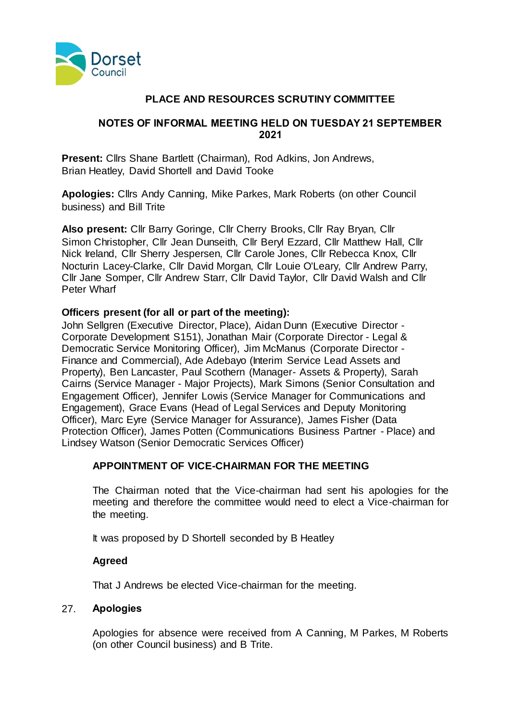

# **PLACE AND RESOURCES SCRUTINY COMMITTEE**

### **NOTES OF INFORMAL MEETING HELD ON TUESDAY 21 SEPTEMBER 2021**

**Present:** Cllrs Shane Bartlett (Chairman), Rod Adkins, Jon Andrews, Brian Heatley, David Shortell and David Tooke

**Apologies:** Cllrs Andy Canning, Mike Parkes, Mark Roberts (on other Council business) and Bill Trite

**Also present:** Cllr Barry Goringe, Cllr Cherry Brooks, Cllr Ray Bryan, Cllr Simon Christopher, Cllr Jean Dunseith, Cllr Beryl Ezzard, Cllr Matthew Hall, Cllr Nick Ireland, Cllr Sherry Jespersen, Cllr Carole Jones, Cllr Rebecca Knox, Cllr Nocturin Lacey-Clarke, Cllr David Morgan, Cllr Louie O'Leary, Cllr Andrew Parry, Cllr Jane Somper, Cllr Andrew Starr, Cllr David Taylor, Cllr David Walsh and Cllr Peter Wharf

# **Officers present (for all or part of the meeting):**

John Sellgren (Executive Director, Place), Aidan Dunn (Executive Director - Corporate Development S151), Jonathan Mair (Corporate Director - Legal & Democratic Service Monitoring Officer), Jim McManus (Corporate Director - Finance and Commercial), Ade Adebayo (Interim Service Lead Assets and Property), Ben Lancaster, Paul Scothern (Manager- Assets & Property), Sarah Cairns (Service Manager - Major Projects), Mark Simons (Senior Consultation and Engagement Officer), Jennifer Lowis (Service Manager for Communications and Engagement), Grace Evans (Head of Legal Services and Deputy Monitoring Officer), Marc Eyre (Service Manager for Assurance), James Fisher (Data Protection Officer), James Potten (Communications Business Partner - Place) and Lindsey Watson (Senior Democratic Services Officer)

# **APPOINTMENT OF VICE-CHAIRMAN FOR THE MEETING**

The Chairman noted that the Vice-chairman had sent his apologies for the meeting and therefore the committee would need to elect a Vice-chairman for the meeting.

It was proposed by D Shortell seconded by B Heatley

# **Agreed**

That J Andrews be elected Vice-chairman for the meeting.

#### 27. **Apologies**

Apologies for absence were received from A Canning, M Parkes, M Roberts (on other Council business) and B Trite.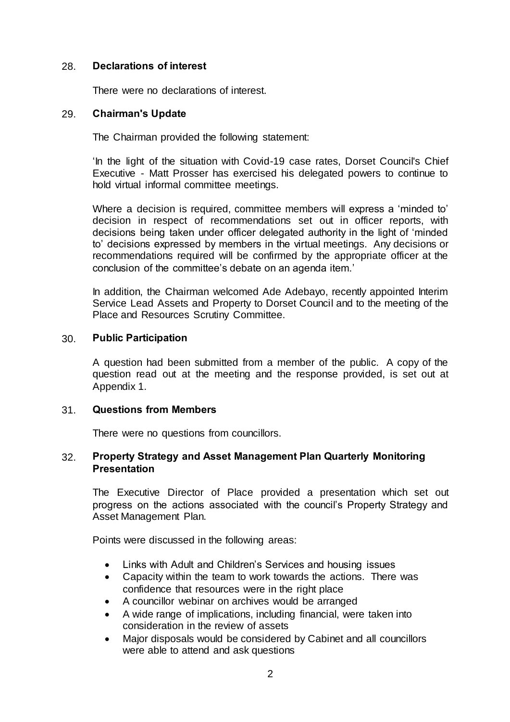### 28. **Declarations of interest**

There were no declarations of interest.

#### 29. **Chairman's Update**

The Chairman provided the following statement:

'In the light of the situation with Covid-19 case rates, Dorset Council's Chief Executive - Matt Prosser has exercised his delegated powers to continue to hold virtual informal committee meetings.

Where a decision is required, committee members will express a 'minded to' decision in respect of recommendations set out in officer reports, with decisions being taken under officer delegated authority in the light of 'minded to' decisions expressed by members in the virtual meetings. Any decisions or recommendations required will be confirmed by the appropriate officer at the conclusion of the committee's debate on an agenda item.'

In addition, the Chairman welcomed Ade Adebayo, recently appointed Interim Service Lead Assets and Property to Dorset Council and to the meeting of the Place and Resources Scrutiny Committee.

### 30. **Public Participation**

A question had been submitted from a member of the public. A copy of the question read out at the meeting and the response provided, is set out at Appendix 1.

# 31. **Questions from Members**

There were no questions from councillors.

### 32. **Property Strategy and Asset Management Plan Quarterly Monitoring Presentation**

The Executive Director of Place provided a presentation which set out progress on the actions associated with the council's Property Strategy and Asset Management Plan.

Points were discussed in the following areas:

- Links with Adult and Children's Services and housing issues
- Capacity within the team to work towards the actions. There was confidence that resources were in the right place
- A councillor webinar on archives would be arranged
- A wide range of implications, including financial, were taken into consideration in the review of assets
- Major disposals would be considered by Cabinet and all councillors were able to attend and ask questions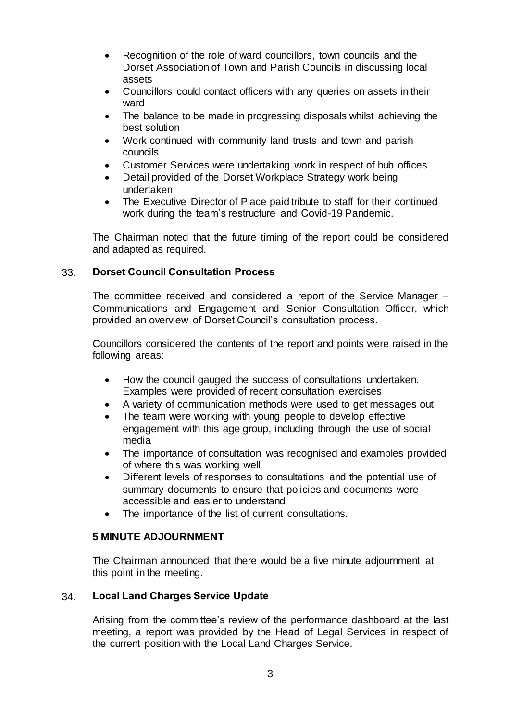- Recognition of the role of ward councillors, town councils and the Dorset Association of Town and Parish Councils in discussing local assets
- Councillors could contact officers with any queries on assets in their ward
- The balance to be made in progressing disposals whilst achieving the best solution
- Work continued with community land trusts and town and parish councils
- Customer Services were undertaking work in respect of hub offices
- Detail provided of the Dorset Workplace Strategy work being undertaken
- The Executive Director of Place paid tribute to staff for their continued work during the team's restructure and Covid-19 Pandemic.

The Chairman noted that the future timing of the report could be considered and adapted as required.

# 33. **Dorset Council Consultation Process**

The committee received and considered a report of the Service Manager – Communications and Engagement and Senior Consultation Officer, which provided an overview of Dorset Council's consultation process.

Councillors considered the contents of the report and points were raised in the following areas:

- How the council gauged the success of consultations undertaken. Examples were provided of recent consultation exercises
- A variety of communication methods were used to get messages out
- The team were working with young people to develop effective engagement with this age group, including through the use of social media
- The importance of consultation was recognised and examples provided of where this was working well
- Different levels of responses to consultations and the potential use of summary documents to ensure that policies and documents were accessible and easier to understand
- The importance of the list of current consultations.

# **5 MINUTE ADJOURNMENT**

The Chairman announced that there would be a five minute adjournment at this point in the meeting.

# 34. **Local Land Charges Service Update**

Arising from the committee's review of the performance dashboard at the last meeting, a report was provided by the Head of Legal Services in respect of the current position with the Local Land Charges Service.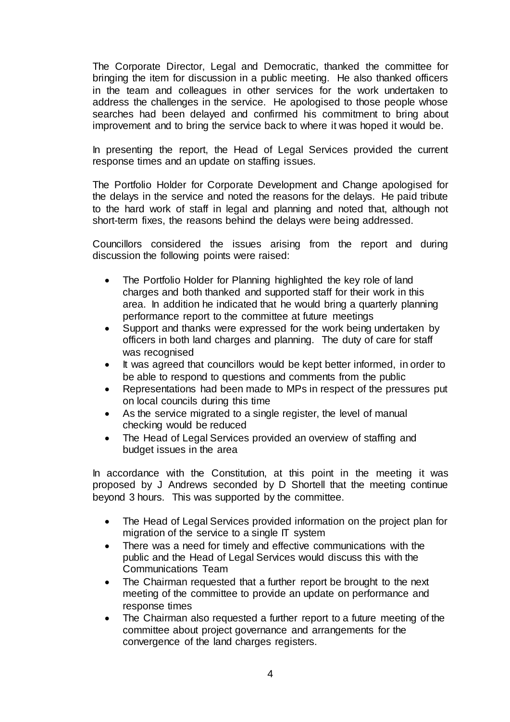The Corporate Director, Legal and Democratic, thanked the committee for bringing the item for discussion in a public meeting. He also thanked officers in the team and colleagues in other services for the work undertaken to address the challenges in the service. He apologised to those people whose searches had been delayed and confirmed his commitment to bring about improvement and to bring the service back to where it was hoped it would be.

In presenting the report, the Head of Legal Services provided the current response times and an update on staffing issues.

The Portfolio Holder for Corporate Development and Change apologised for the delays in the service and noted the reasons for the delays. He paid tribute to the hard work of staff in legal and planning and noted that, although not short-term fixes, the reasons behind the delays were being addressed.

Councillors considered the issues arising from the report and during discussion the following points were raised:

- The Portfolio Holder for Planning highlighted the key role of land charges and both thanked and supported staff for their work in this area. In addition he indicated that he would bring a quarterly planning performance report to the committee at future meetings
- Support and thanks were expressed for the work being undertaken by officers in both land charges and planning. The duty of care for staff was recognised
- It was agreed that councillors would be kept better informed, in order to be able to respond to questions and comments from the public
- Representations had been made to MPs in respect of the pressures put on local councils during this time
- As the service migrated to a single register, the level of manual checking would be reduced
- The Head of Legal Services provided an overview of staffing and budget issues in the area

In accordance with the Constitution, at this point in the meeting it was proposed by J Andrews seconded by D Shortell that the meeting continue beyond 3 hours. This was supported by the committee.

- The Head of Legal Services provided information on the project plan for migration of the service to a single IT system
- There was a need for timely and effective communications with the public and the Head of Legal Services would discuss this with the Communications Team
- The Chairman requested that a further report be brought to the next meeting of the committee to provide an update on performance and response times
- The Chairman also requested a further report to a future meeting of the committee about project governance and arrangements for the convergence of the land charges registers.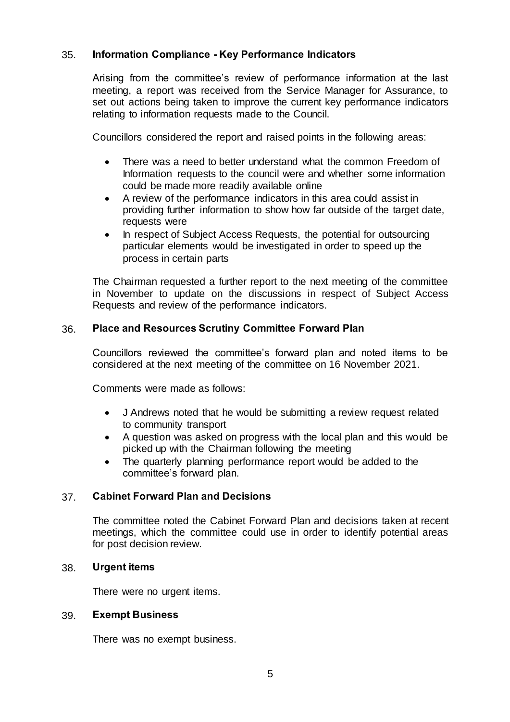# 35. **Information Compliance - Key Performance Indicators**

Arising from the committee's review of performance information at the last meeting, a report was received from the Service Manager for Assurance, to set out actions being taken to improve the current key performance indicators relating to information requests made to the Council.

Councillors considered the report and raised points in the following areas:

- There was a need to better understand what the common Freedom of Information requests to the council were and whether some information could be made more readily available online
- A review of the performance indicators in this area could assist in providing further information to show how far outside of the target date, requests were
- In respect of Subject Access Requests, the potential for outsourcing particular elements would be investigated in order to speed up the process in certain parts

The Chairman requested a further report to the next meeting of the committee in November to update on the discussions in respect of Subject Access Requests and review of the performance indicators.

# 36. **Place and Resources Scrutiny Committee Forward Plan**

Councillors reviewed the committee's forward plan and noted items to be considered at the next meeting of the committee on 16 November 2021.

Comments were made as follows:

- J Andrews noted that he would be submitting a review request related to community transport
- A question was asked on progress with the local plan and this would be picked up with the Chairman following the meeting
- The quarterly planning performance report would be added to the committee's forward plan.

# 37. **Cabinet Forward Plan and Decisions**

The committee noted the Cabinet Forward Plan and decisions taken at recent meetings, which the committee could use in order to identify potential areas for post decision review.

#### 38. **Urgent items**

There were no urgent items.

#### 39. **Exempt Business**

There was no exempt business.